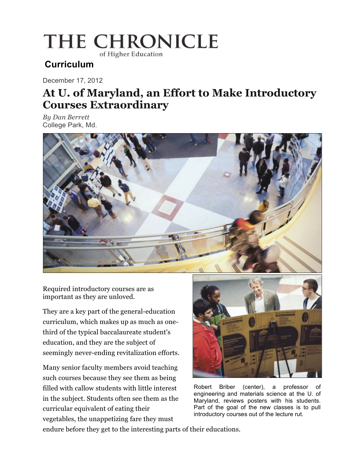# THE CHRONICLE

of Higher Education

### **Curriculum**

December 17, 2012

## **At U. of Maryland, an Effort to Make Introductory Courses Extraordinary**

*By Dan Berrett*  College Park, Md.



Required introductory courses are as important as they are unloved.

They are a key part of the general-education curriculum, which makes up as much as onethird of the typical baccalaureate student's education, and they are the subject of seemingly never-ending revitalization efforts.

Many senior faculty members avoid teaching such courses because they see them as being filled with callow students with little interest in the subject. Students often see them as the curricular equivalent of eating their vegetables, the unappetizing fare they must



Robert Briber (center), a professor of engineering and materials science at the U. of Maryland, reviews posters with his students. Part of the goal of the new classes is to pull introductory courses out of the lecture rut.

endure before they get to the interesting parts of their educations.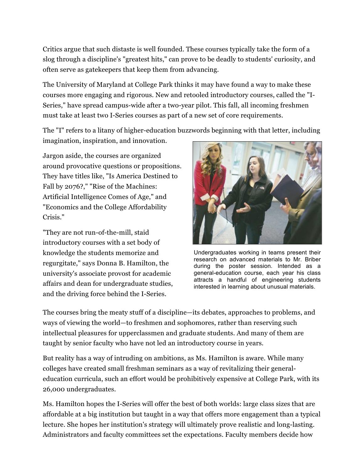Critics argue that such distaste is well founded. These courses typically take the form of a slog through a discipline's "greatest hits," can prove to be deadly to students' curiosity, and often serve as gatekeepers that keep them from advancing.

The University of Maryland at College Park thinks it may have found a way to make these courses more engaging and rigorous. New and retooled introductory courses, called the "I-Series," have spread campus-wide after a two-year pilot. This fall, all incoming freshmen must take at least two I-Series courses as part of a new set of core requirements.

The "I" refers to a litany of higher-education buzzwords beginning with that letter, including imagination, inspiration, and innovation.

Jargon aside, the courses are organized around provocative questions or propositions. They have titles like, "Is America Destined to Fall by 2076?," "Rise of the Machines: Artificial Intelligence Comes of Age," and "Economics and the College Affordability Crisis."

"They are not run-of-the-mill, staid introductory courses with a set body of knowledge the students memorize and regurgitate," says Donna B. Hamilton, the university's associate provost for academic affairs and dean for undergraduate studies, and the driving force behind the I-Series.



Undergraduates working in teams present their research on advanced materials to Mr. Briber during the poster session. Intended as a general-education course, each year his class attracts a handful of engineering students interested in learning about unusual materials.

The courses bring the meaty stuff of a discipline—its debates, approaches to problems, and ways of viewing the world—to freshmen and sophomores, rather than reserving such intellectual pleasures for upperclassmen and graduate students. And many of them are taught by senior faculty who have not led an introductory course in years.

But reality has a way of intruding on ambitions, as Ms. Hamilton is aware. While many colleges have created small freshman seminars as a way of revitalizing their generaleducation curricula, such an effort would be prohibitively expensive at College Park, with its 26,000 undergraduates.

Ms. Hamilton hopes the I-Series will offer the best of both worlds: large class sizes that are affordable at a big institution but taught in a way that offers more engagement than a typical lecture. She hopes her institution's strategy will ultimately prove realistic and long-lasting. Administrators and faculty committees set the expectations. Faculty members decide how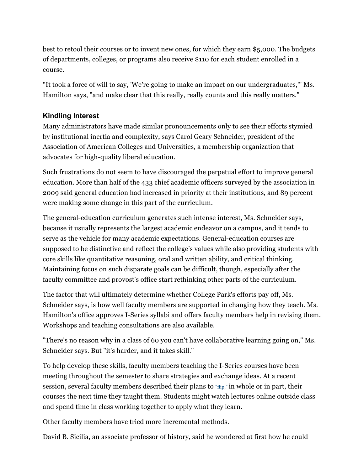best to retool their courses or to invent new ones, for which they earn \$5,000. The budgets of departments, colleges, or programs also receive \$110 for each student enrolled in a course.

"It took a force of will to say, 'We're going to make an impact on our undergraduates,'" Ms. Hamilton says, "and make clear that this really, really counts and this really matters."

#### **Kindling Interest**

Many administrators have made similar pronouncements only to see their efforts stymied by institutional inertia and complexity, says Carol Geary Schneider, president of the Association of American Colleges and Universities, a membership organization that advocates for high-quality liberal education.

Such frustrations do not seem to have discouraged the perpetual effort to improve general education. More than half of the 433 chief academic officers surveyed by the association in 2009 said general education had increased in priority at their institutions, and 89 percent were making some change in this part of the curriculum.

The general-education curriculum generates such intense interest, Ms. Schneider says, because it usually represents the largest academic endeavor on a campus, and it tends to serve as the vehicle for many academic expectations. General-education courses are supposed to be distinctive and reflect the college's values while also providing students with core skills like quantitative reasoning, oral and written ability, and critical thinking. Maintaining focus on such disparate goals can be difficult, though, especially after the faculty committee and provost's office start rethinking other parts of the curriculum.

The factor that will ultimately determine whether College Park's efforts pay off, Ms. Schneider says, is how well faculty members are supported in changing how they teach. Ms. Hamilton's office approves I-Series syllabi and offers faculty members help in revising them. Workshops and teaching consultations are also available.

"There's no reason why in a class of 60 you can't have collaborative learning going on," Ms. Schneider says. But "it's harder, and it takes skill."

To help develop these skills, faculty members teaching the I-Series courses have been meeting throughout the semester to share strategies and exchange ideas. At a recent session, several faculty members described their plans to "flip," in whole or in part, their courses the next time they taught them. Students might watch lectures online outside class and spend time in class working together to apply what they learn.

Other faculty members have tried more incremental methods.

David B. Sicilia, an associate professor of history, said he wondered at first how he could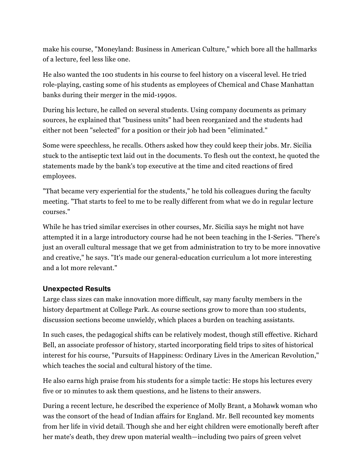make his course, "Moneyland: Business in American Culture," which bore all the hallmarks of a lecture, feel less like one.

He also wanted the 100 students in his course to feel history on a visceral level. He tried role-playing, casting some of his students as employees of Chemical and Chase Manhattan banks during their merger in the mid-1990s.

During his lecture, he called on several students. Using company documents as primary sources, he explained that "business units" had been reorganized and the students had either not been "selected" for a position or their job had been "eliminated."

Some were speechless, he recalls. Others asked how they could keep their jobs. Mr. Sicilia stuck to the antiseptic text laid out in the documents. To flesh out the context, he quoted the statements made by the bank's top executive at the time and cited reactions of fired employees.

"That became very experiential for the students," he told his colleagues during the faculty meeting. "That starts to feel to me to be really different from what we do in regular lecture courses."

While he has tried similar exercises in other courses, Mr. Sicilia says he might not have attempted it in a large introductory course had he not been teaching in the I-Series. "There's just an overall cultural message that we get from administration to try to be more innovative and creative," he says. "It's made our general-education curriculum a lot more interesting and a lot more relevant."

#### **Unexpected Results**

Large class sizes can make innovation more difficult, say many faculty members in the history department at College Park. As course sections grow to more than 100 students, discussion sections become unwieldy, which places a burden on teaching assistants.

In such cases, the pedagogical shifts can be relatively modest, though still effective. Richard Bell, an associate professor of history, started incorporating field trips to sites of historical interest for his course, "Pursuits of Happiness: Ordinary Lives in the American Revolution," which teaches the social and cultural history of the time.

He also earns high praise from his students for a simple tactic: He stops his lectures every five or 10 minutes to ask them questions, and he listens to their answers.

During a recent lecture, he described the experience of Molly Brant, a Mohawk woman who was the consort of the head of Indian affairs for England. Mr. Bell recounted key moments from her life in vivid detail. Though she and her eight children were emotionally bereft after her mate's death, they drew upon material wealth—including two pairs of green velvet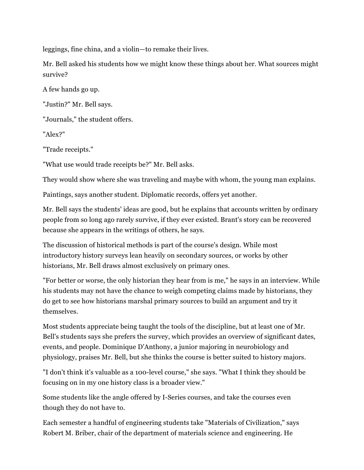leggings, fine china, and a violin—to remake their lives.

Mr. Bell asked his students how we might know these things about her. What sources might survive?

A few hands go up.

"Justin?" Mr. Bell says.

"Journals," the student offers.

"Alex?"

"Trade receipts."

"What use would trade receipts be?" Mr. Bell asks.

They would show where she was traveling and maybe with whom, the young man explains.

Paintings, says another student. Diplomatic records, offers yet another.

Mr. Bell says the students' ideas are good, but he explains that accounts written by ordinary people from so long ago rarely survive, if they ever existed. Brant's story can be recovered because she appears in the writings of others, he says.

The discussion of historical methods is part of the course's design. While most introductory history surveys lean heavily on secondary sources, or works by other historians, Mr. Bell draws almost exclusively on primary ones.

"For better or worse, the only historian they hear from is me," he says in an interview. While his students may not have the chance to weigh competing claims made by historians, they do get to see how historians marshal primary sources to build an argument and try it themselves.

Most students appreciate being taught the tools of the discipline, but at least one of Mr. Bell's students says she prefers the survey, which provides an overview of significant dates, events, and people. Dominique D'Anthony, a junior majoring in neurobiology and physiology, praises Mr. Bell, but she thinks the course is better suited to history majors.

"I don't think it's valuable as a 100-level course," she says. "What I think they should be focusing on in my one history class is a broader view."

Some students like the angle offered by I-Series courses, and take the courses even though they do not have to.

Each semester a handful of engineering students take "Materials of Civilization," says Robert M. Briber, chair of the department of materials science and engineering. He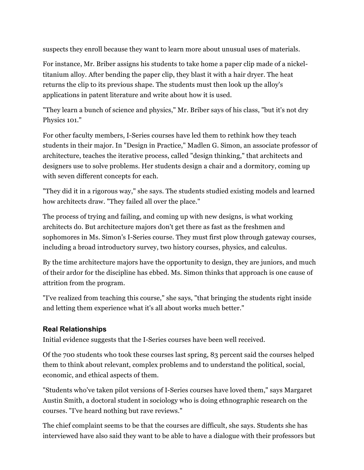suspects they enroll because they want to learn more about unusual uses of materials.

For instance, Mr. Briber assigns his students to take home a paper clip made of a nickeltitanium alloy. After bending the paper clip, they blast it with a hair dryer. The heat returns the clip to its previous shape. The students must then look up the alloy's applications in patent literature and write about how it is used.

"They learn a bunch of science and physics," Mr. Briber says of his class, "but it's not dry Physics 101."

For other faculty members, I-Series courses have led them to rethink how they teach students in their major. In "Design in Practice," Madlen G. Simon, an associate professor of architecture, teaches the iterative process, called "design thinking," that architects and designers use to solve problems. Her students design a chair and a dormitory, coming up with seven different concepts for each.

"They did it in a rigorous way," she says. The students studied existing models and learned how architects draw. "They failed all over the place."

The process of trying and failing, and coming up with new designs, is what working architects do. But architecture majors don't get there as fast as the freshmen and sophomores in Ms. Simon's I-Series course. They must first plow through gateway courses, including a broad introductory survey, two history courses, physics, and calculus.

By the time architecture majors have the opportunity to design, they are juniors, and much of their ardor for the discipline has ebbed. Ms. Simon thinks that approach is one cause of attrition from the program.

"I've realized from teaching this course," she says, "that bringing the students right inside and letting them experience what it's all about works much better."

#### **Real Relationships**

Initial evidence suggests that the I-Series courses have been well received.

Of the 700 students who took these courses last spring, 83 percent said the courses helped them to think about relevant, complex problems and to understand the political, social, economic, and ethical aspects of them.

"Students who've taken pilot versions of I-Series courses have loved them," says Margaret Austin Smith, a doctoral student in sociology who is doing ethnographic research on the courses. "I've heard nothing but rave reviews."

The chief complaint seems to be that the courses are difficult, she says. Students she has interviewed have also said they want to be able to have a dialogue with their professors but